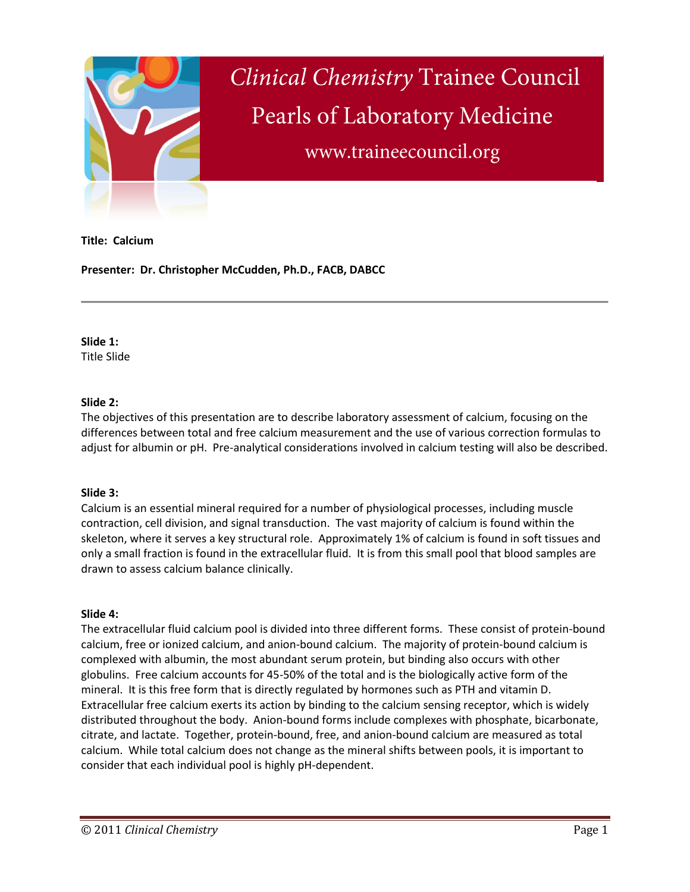

# **Clinical Chemistry Trainee Council** Pearls of Laboratory Medicine www.traineecouncil.org

#### **Title: Calcium**

**Presenter: Dr. Christopher McCudden, Ph.D., FACB, DABCC**

# **Slide 1:**

Title Slide

# **Slide 2:**

The objectives of this presentation are to describe laboratory assessment of calcium, focusing on the differences between total and free calcium measurement and the use of various correction formulas to adjust for albumin or pH. Pre-analytical considerations involved in calcium testing will also be described.

# **Slide 3:**

Calcium is an essential mineral required for a number of physiological processes, including muscle contraction, cell division, and signal transduction. The vast majority of calcium is found within the skeleton, where it serves a key structural role. Approximately 1% of calcium is found in soft tissues and only a small fraction is found in the extracellular fluid. It is from this small pool that blood samples are drawn to assess calcium balance clinically.

# **Slide 4:**

The extracellular fluid calcium pool is divided into three different forms. These consist of protein-bound calcium, free or ionized calcium, and anion-bound calcium. The majority of protein-bound calcium is complexed with albumin, the most abundant serum protein, but binding also occurs with other globulins. Free calcium accounts for 45-50% of the total and is the biologically active form of the mineral. It is this free form that is directly regulated by hormones such as PTH and vitamin D. Extracellular free calcium exerts its action by binding to the calcium sensing receptor, which is widely distributed throughout the body. Anion-bound forms include complexes with phosphate, bicarbonate, citrate, and lactate. Together, protein-bound, free, and anion-bound calcium are measured as total calcium. While total calcium does not change as the mineral shifts between pools, it is important to consider that each individual pool is highly pH-dependent.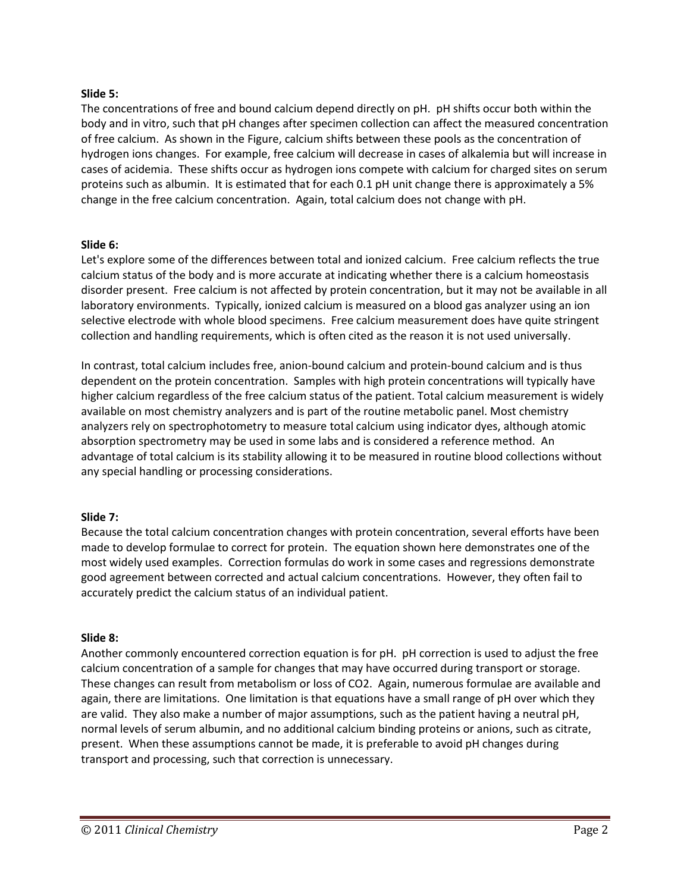#### **Slide 5:**

The concentrations of free and bound calcium depend directly on pH. pH shifts occur both within the body and in vitro, such that pH changes after specimen collection can affect the measured concentration of free calcium. As shown in the Figure, calcium shifts between these pools as the concentration of hydrogen ions changes. For example, free calcium will decrease in cases of alkalemia but will increase in cases of acidemia. These shifts occur as hydrogen ions compete with calcium for charged sites on serum proteins such as albumin. It is estimated that for each 0.1 pH unit change there is approximately a 5% change in the free calcium concentration. Again, total calcium does not change with pH.

#### **Slide 6:**

Let's explore some of the differences between total and ionized calcium. Free calcium reflects the true calcium status of the body and is more accurate at indicating whether there is a calcium homeostasis disorder present. Free calcium is not affected by protein concentration, but it may not be available in all laboratory environments. Typically, ionized calcium is measured on a blood gas analyzer using an ion selective electrode with whole blood specimens. Free calcium measurement does have quite stringent collection and handling requirements, which is often cited as the reason it is not used universally.

In contrast, total calcium includes free, anion-bound calcium and protein-bound calcium and is thus dependent on the protein concentration. Samples with high protein concentrations will typically have higher calcium regardless of the free calcium status of the patient. Total calcium measurement is widely available on most chemistry analyzers and is part of the routine metabolic panel. Most chemistry analyzers rely on spectrophotometry to measure total calcium using indicator dyes, although atomic absorption spectrometry may be used in some labs and is considered a reference method. An advantage of total calcium is its stability allowing it to be measured in routine blood collections without any special handling or processing considerations.

# **Slide 7:**

Because the total calcium concentration changes with protein concentration, several efforts have been made to develop formulae to correct for protein. The equation shown here demonstrates one of the most widely used examples. Correction formulas do work in some cases and regressions demonstrate good agreement between corrected and actual calcium concentrations. However, they often fail to accurately predict the calcium status of an individual patient.

#### **Slide 8:**

Another commonly encountered correction equation is for pH. pH correction is used to adjust the free calcium concentration of a sample for changes that may have occurred during transport or storage. These changes can result from metabolism or loss of CO2. Again, numerous formulae are available and again, there are limitations. One limitation is that equations have a small range of pH over which they are valid. They also make a number of major assumptions, such as the patient having a neutral pH, normal levels of serum albumin, and no additional calcium binding proteins or anions, such as citrate, present. When these assumptions cannot be made, it is preferable to avoid pH changes during transport and processing, such that correction is unnecessary.